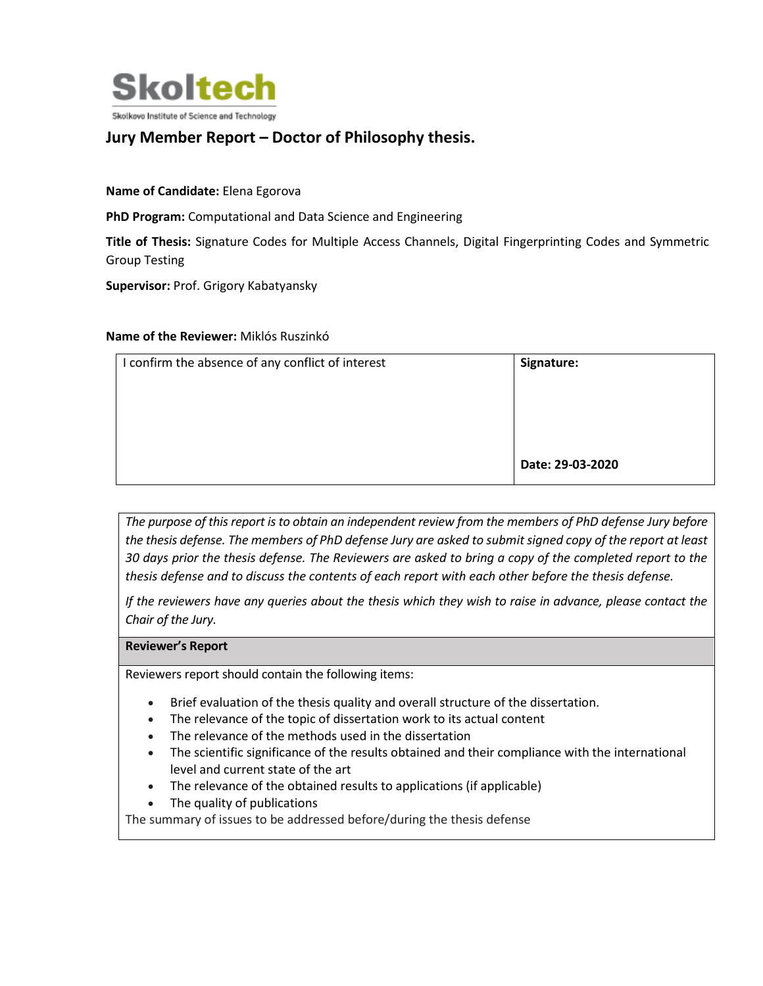

## **Jury Member Report – Doctor of Philosophy thesis.**

**Name of Candidate:** Elena Egorova

**PhD Program:** Computational and Data Science and Engineering

**Title of Thesis:** Signature Codes for Multiple Access Channels, Digital Fingerprinting Codes and Symmetric Group Testing

**Supervisor:** Prof. Grigory Kabatyansky

## **Name of the Reviewer:** Miklós Ruszinkó

| I confirm the absence of any conflict of interest | Signature:       |
|---------------------------------------------------|------------------|
|                                                   |                  |
|                                                   |                  |
|                                                   |                  |
|                                                   | Date: 29-03-2020 |
|                                                   |                  |

*The purpose of this report is to obtain an independent review from the members of PhD defense Jury before the thesis defense. The members of PhD defense Jury are asked to submit signed copy of the report at least 30 days prior the thesis defense. The Reviewers are asked to bring a copy of the completed report to the thesis defense and to discuss the contents of each report with each other before the thesis defense.* 

*If the reviewers have any queries about the thesis which they wish to raise in advance, please contact the Chair of the Jury.*

## **Reviewer's Report**

Reviewers report should contain the following items:

- Brief evaluation of the thesis quality and overall structure of the dissertation.
- The relevance of the topic of dissertation work to its actual content
- The relevance of the methods used in the dissertation
- The scientific significance of the results obtained and their compliance with the international level and current state of the art
- The relevance of the obtained results to applications (if applicable)
- The quality of publications

The summary of issues to be addressed before/during the thesis defense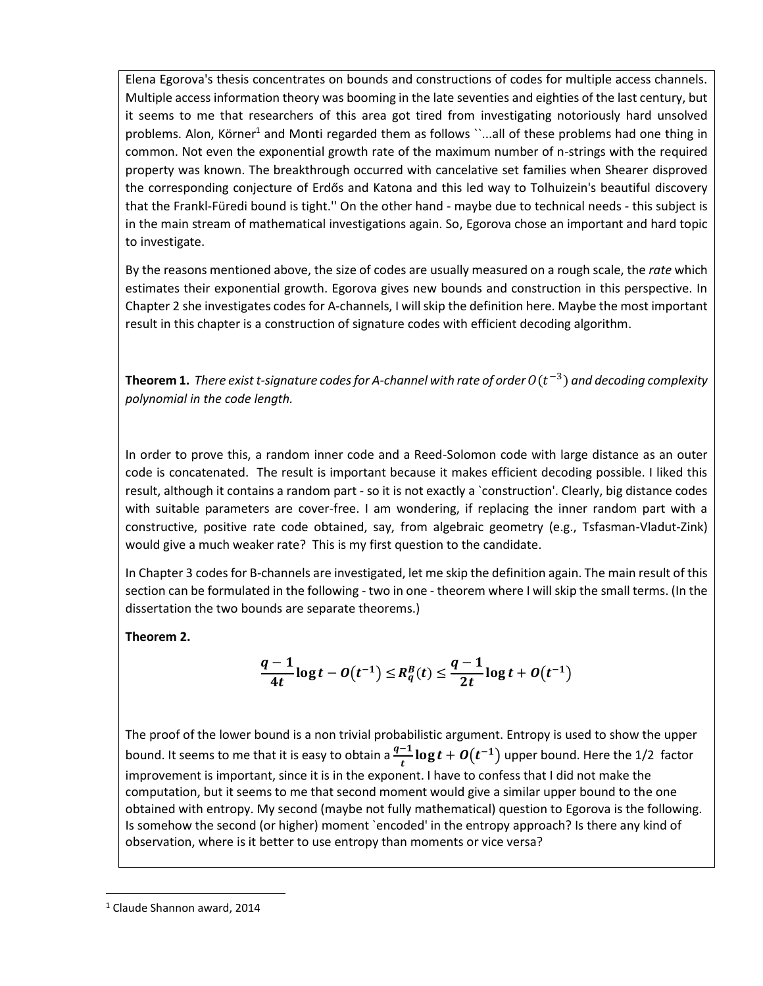Elena Egorova's thesis concentrates on bounds and constructions of codes for multiple access channels. Multiple access information theory was booming in the late seventies and eighties of the last century, but it seems to me that researchers of this area got tired from investigating notoriously hard unsolved problems. Alon, Körner<sup>1</sup> and Monti regarded them as follows ``...all of these problems had one thing in common. Not even the exponential growth rate of the maximum number of n-strings with the required property was known. The breakthrough occurred with cancelative set families when Shearer disproved the corresponding conjecture of Erdős and Katona and this led way to Tolhuizein's beautiful discovery that the Frankl-Füredi bound is tight.'' On the other hand - maybe due to technical needs - this subject is in the main stream of mathematical investigations again. So, Egorova chose an important and hard topic to investigate.

By the reasons mentioned above, the size of codes are usually measured on a rough scale, the *rate* which estimates their exponential growth. Egorova gives new bounds and construction in this perspective. In Chapter 2 she investigates codes for A-channels, I will skip the definition here. Maybe the most important result in this chapter is a construction of signature codes with efficient decoding algorithm.

**Theorem 1.** There exist t-signature codes for A-channel with rate of order  $O(t^{-3})$  and decoding complexity *polynomial in the code length.*

In order to prove this, a random inner code and a Reed-Solomon code with large distance as an outer code is concatenated. The result is important because it makes efficient decoding possible. I liked this result, although it contains a random part - so it is not exactly a `construction'. Clearly, big distance codes with suitable parameters are cover-free. I am wondering, if replacing the inner random part with a constructive, positive rate code obtained, say, from algebraic geometry (e.g., Tsfasman-Vladut-Zink) would give a much weaker rate? This is my first question to the candidate.

In Chapter 3 codes for B-channels are investigated, let me skip the definition again. The main result of this section can be formulated in the following - two in one - theorem where I will skip the small terms. (In the dissertation the two bounds are separate theorems.)

**Theorem 2.**

$$
\frac{q-1}{4t}\log t - O(t^{-1}) \le R_q^B(t) \le \frac{q-1}{2t}\log t + O(t^{-1})
$$

The proof of the lower bound is a non trivial probabilistic argument. Entropy is used to show the upper bound. It seems to me that it is easy to obtain a  $\frac{q-1}{t} \log t + O(t^{-1})$  upper bound. Here the 1/2 factor improvement is important, since it is in the exponent. I have to confess that I did not make the computation, but it seems to me that second moment would give a similar upper bound to the one obtained with entropy. My second (maybe not fully mathematical) question to Egorova is the following. Is somehow the second (or higher) moment `encoded' in the entropy approach? Is there any kind of observation, where is it better to use entropy than moments or vice versa?

 $\overline{a}$ 

<sup>1</sup> Claude Shannon award, 2014